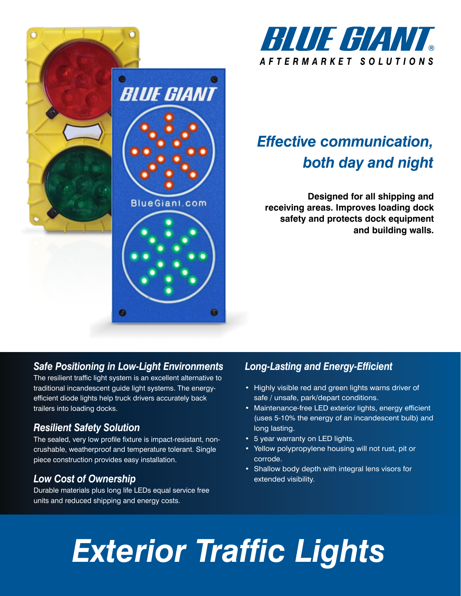



# *Effective communication, both day and night*

**Designed for all shipping and receiving areas. Improves loading dock safety and protects dock equipment and building walls.**

# *Safe Positioning in Low-Light Environments*

The resilient traffic light system is an excellent alternative to traditional incandescent guide light systems. The energyefficient diode lights help truck drivers accurately back trailers into loading docks.

# *Resilient Safety Solution*

The sealed, very low profile fixture is impact-resistant, noncrushable, weatherproof and temperature tolerant. Single piece construction provides easy installation.

# *Low Cost of Ownership*

Durable materials plus long life LEDs equal service free units and reduced shipping and energy costs.

# *Long-Lasting and Energy-Efficient*

- Highly visible red and green lights warns driver of safe / unsafe, park/depart conditions.
- Maintenance-free LED exterior lights, energy efficient (uses 5-10% the energy of an incandescent bulb) and long lasting.
- 5 year warranty on LED lights.
- Yellow polypropylene housing will not rust, pit or corrode.
- Shallow body depth with integral lens visors for extended visibility.

# *Exterior Traffic Lights*